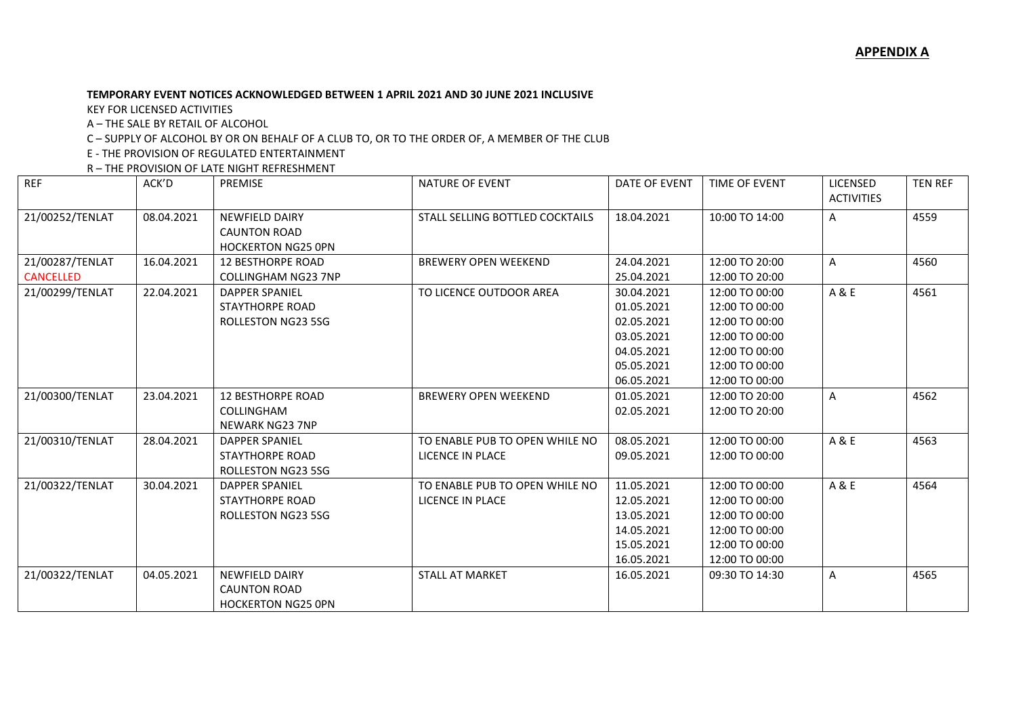## **TEMPORARY EVENT NOTICES ACKNOWLEDGED BETWEEN 1 APRIL 2021 AND 30 JUNE 2021 INCLUSIVE**

KEY FOR LICENSED ACTIVITIES

A – THE SALE BY RETAIL OF ALCOHOL

C – SUPPLY OF ALCOHOL BY OR ON BEHALF OF A CLUB TO, OR TO THE ORDER OF, A MEMBER OF THE CLUB

E - THE PROVISION OF REGULATED ENTERTAINMENT

R – THE PROVISION OF LATE NIGHT REFRESHMENT

| <b>REF</b>                          | ACK'D      | PREMISE                                                                      | <b>NATURE OF EVENT</b>                                    | DATE OF EVENT                                                                                  | TIME OF EVENT                                                                                                              | LICENSED<br><b>ACTIVITIES</b> | <b>TEN REF</b> |
|-------------------------------------|------------|------------------------------------------------------------------------------|-----------------------------------------------------------|------------------------------------------------------------------------------------------------|----------------------------------------------------------------------------------------------------------------------------|-------------------------------|----------------|
| 21/00252/TENLAT                     | 08.04.2021 | <b>NEWFIELD DAIRY</b><br><b>CAUNTON ROAD</b><br><b>HOCKERTON NG25 OPN</b>    | STALL SELLING BOTTLED COCKTAILS                           | 18.04.2021                                                                                     | 10:00 TO 14:00                                                                                                             | Α                             | 4559           |
| 21/00287/TENLAT<br><b>CANCELLED</b> | 16.04.2021 | <b>12 BESTHORPE ROAD</b><br>COLLINGHAM NG23 7NP                              | <b>BREWERY OPEN WEEKEND</b>                               | 24.04.2021<br>25.04.2021                                                                       | 12:00 TO 20:00<br>12:00 TO 20:00                                                                                           | Α                             | 4560           |
| 21/00299/TENLAT                     | 22.04.2021 | <b>DAPPER SPANIEL</b><br><b>STAYTHORPE ROAD</b><br>ROLLESTON NG23 5SG        | TO LICENCE OUTDOOR AREA                                   | 30.04.2021<br>01.05.2021<br>02.05.2021<br>03.05.2021<br>04.05.2021<br>05.05.2021<br>06.05.2021 | 12:00 TO 00:00<br>12:00 TO 00:00<br>12:00 TO 00:00<br>12:00 TO 00:00<br>12:00 TO 00:00<br>12:00 TO 00:00<br>12:00 TO 00:00 | A & E                         | 4561           |
| 21/00300/TENLAT                     | 23.04.2021 | <b>12 BESTHORPE ROAD</b><br>COLLINGHAM<br><b>NEWARK NG23 7NP</b>             | <b>BREWERY OPEN WEEKEND</b>                               | 01.05.2021<br>02.05.2021                                                                       | 12:00 TO 20:00<br>12:00 TO 20:00                                                                                           | Α                             | 4562           |
| 21/00310/TENLAT                     | 28.04.2021 | <b>DAPPER SPANIEL</b><br><b>STAYTHORPE ROAD</b><br><b>ROLLESTON NG23 5SG</b> | TO ENABLE PUB TO OPEN WHILE NO<br>LICENCE IN PLACE        | 08.05.2021<br>09.05.2021                                                                       | 12:00 TO 00:00<br>12:00 TO 00:00                                                                                           | A & E                         | 4563           |
| 21/00322/TENLAT                     | 30.04.2021 | <b>DAPPER SPANIEL</b><br><b>STAYTHORPE ROAD</b><br>ROLLESTON NG23 5SG        | TO ENABLE PUB TO OPEN WHILE NO<br><b>LICENCE IN PLACE</b> | 11.05.2021<br>12.05.2021<br>13.05.2021<br>14.05.2021<br>15.05.2021<br>16.05.2021               | 12:00 TO 00:00<br>12:00 TO 00:00<br>12:00 TO 00:00<br>12:00 TO 00:00<br>12:00 TO 00:00<br>12:00 TO 00:00                   | A & E                         | 4564           |
| 21/00322/TENLAT                     | 04.05.2021 | <b>NEWFIELD DAIRY</b><br><b>CAUNTON ROAD</b><br><b>HOCKERTON NG25 OPN</b>    | <b>STALL AT MARKET</b>                                    | 16.05.2021                                                                                     | 09:30 TO 14:30                                                                                                             | Α                             | 4565           |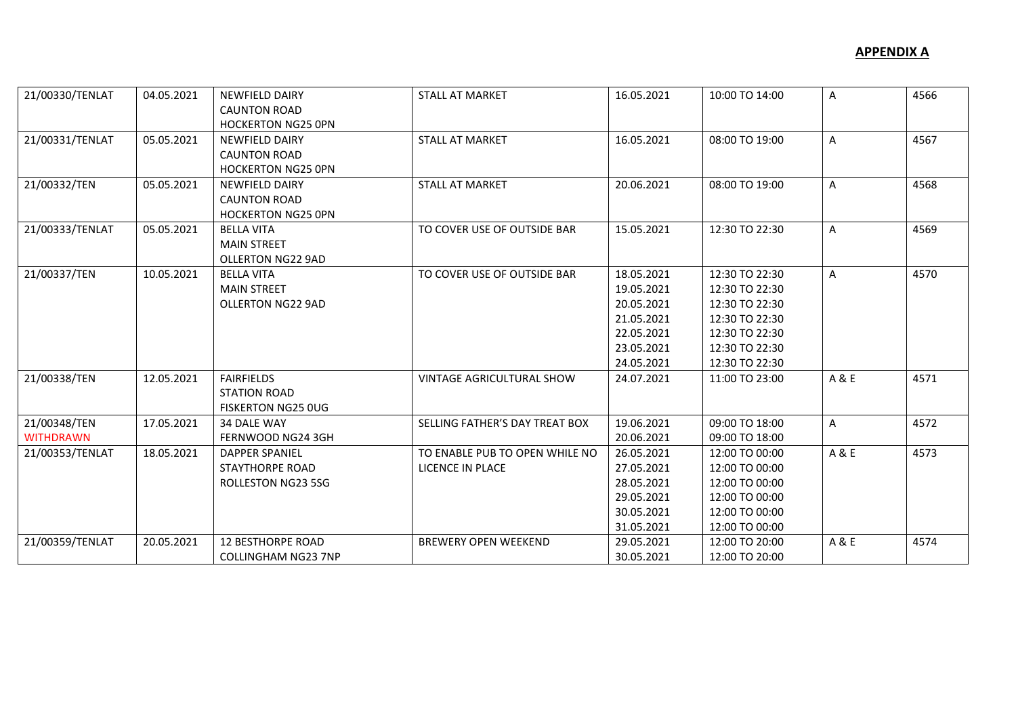| 21/00330/TENLAT                  | 04.05.2021 | <b>NEWFIELD DAIRY</b><br><b>CAUNTON ROAD</b><br><b>HOCKERTON NG25 OPN</b>    | <b>STALL AT MARKET</b>                             | 16.05.2021                                                                                     | 10:00 TO 14:00                                                                                                             | Α     | 4566 |
|----------------------------------|------------|------------------------------------------------------------------------------|----------------------------------------------------|------------------------------------------------------------------------------------------------|----------------------------------------------------------------------------------------------------------------------------|-------|------|
| 21/00331/TENLAT                  | 05.05.2021 | <b>NEWFIELD DAIRY</b><br><b>CAUNTON ROAD</b><br><b>HOCKERTON NG25 OPN</b>    | <b>STALL AT MARKET</b>                             | 16.05.2021                                                                                     | 08:00 TO 19:00                                                                                                             | А     | 4567 |
| 21/00332/TEN                     | 05.05.2021 | <b>NEWFIELD DAIRY</b><br><b>CAUNTON ROAD</b><br><b>HOCKERTON NG25 OPN</b>    | <b>STALL AT MARKET</b>                             | 20.06.2021                                                                                     | 08:00 TO 19:00                                                                                                             | Α     | 4568 |
| 21/00333/TENLAT                  | 05.05.2021 | <b>BELLA VITA</b><br><b>MAIN STREET</b><br><b>OLLERTON NG22 9AD</b>          | TO COVER USE OF OUTSIDE BAR                        | 15.05.2021                                                                                     | 12:30 TO 22:30                                                                                                             | Α     | 4569 |
| 21/00337/TEN                     | 10.05.2021 | <b>BELLA VITA</b><br><b>MAIN STREET</b><br>OLLERTON NG22 9AD                 | TO COVER USE OF OUTSIDE BAR                        | 18.05.2021<br>19.05.2021<br>20.05.2021<br>21.05.2021<br>22.05.2021<br>23.05.2021<br>24.05.2021 | 12:30 TO 22:30<br>12:30 TO 22:30<br>12:30 TO 22:30<br>12:30 TO 22:30<br>12:30 TO 22:30<br>12:30 TO 22:30<br>12:30 TO 22:30 | A     | 4570 |
| 21/00338/TEN                     | 12.05.2021 | <b>FAIRFIELDS</b><br><b>STATION ROAD</b><br><b>FISKERTON NG25 OUG</b>        | <b>VINTAGE AGRICULTURAL SHOW</b>                   | 24.07.2021                                                                                     | 11:00 TO 23:00                                                                                                             | A & E | 4571 |
| 21/00348/TEN<br><b>WITHDRAWN</b> | 17.05.2021 | 34 DALE WAY<br>FERNWOOD NG24 3GH                                             | SELLING FATHER'S DAY TREAT BOX                     | 19.06.2021<br>20.06.2021                                                                       | 09:00 TO 18:00<br>09:00 TO 18:00                                                                                           | Α     | 4572 |
| 21/00353/TENLAT                  | 18.05.2021 | <b>DAPPER SPANIEL</b><br><b>STAYTHORPE ROAD</b><br><b>ROLLESTON NG23 5SG</b> | TO ENABLE PUB TO OPEN WHILE NO<br>LICENCE IN PLACE | 26.05.2021<br>27.05.2021<br>28.05.2021<br>29.05.2021<br>30.05.2021<br>31.05.2021               | 12:00 TO 00:00<br>12:00 TO 00:00<br>12:00 TO 00:00<br>12:00 TO 00:00<br>12:00 TO 00:00<br>12:00 TO 00:00                   | A & E | 4573 |
| 21/00359/TENLAT                  | 20.05.2021 | <b>12 BESTHORPE ROAD</b><br><b>COLLINGHAM NG23 7NP</b>                       | <b>BREWERY OPEN WEEKEND</b>                        | 29.05.2021<br>30.05.2021                                                                       | 12:00 TO 20:00<br>12:00 TO 20:00                                                                                           | A & E | 4574 |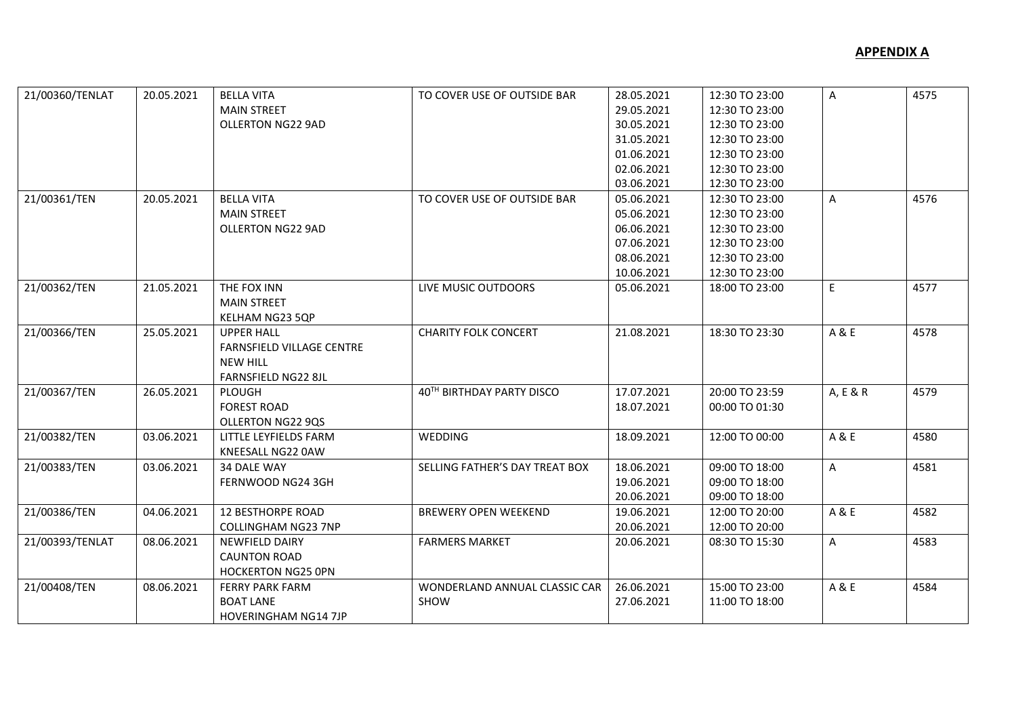| 21/00360/TENLAT | 20.05.2021 | <b>BELLA VITA</b>                | TO COVER USE OF OUTSIDE BAR    | 28.05.2021 | 12:30 TO 23:00 | $\mathsf{A}$ | 4575 |
|-----------------|------------|----------------------------------|--------------------------------|------------|----------------|--------------|------|
|                 |            | <b>MAIN STREET</b>               |                                | 29.05.2021 | 12:30 TO 23:00 |              |      |
|                 |            | <b>OLLERTON NG22 9AD</b>         |                                | 30.05.2021 | 12:30 TO 23:00 |              |      |
|                 |            |                                  |                                | 31.05.2021 | 12:30 TO 23:00 |              |      |
|                 |            |                                  |                                | 01.06.2021 | 12:30 TO 23:00 |              |      |
|                 |            |                                  |                                | 02.06.2021 | 12:30 TO 23:00 |              |      |
|                 |            |                                  |                                | 03.06.2021 | 12:30 TO 23:00 |              |      |
| 21/00361/TEN    | 20.05.2021 | <b>BELLA VITA</b>                | TO COVER USE OF OUTSIDE BAR    | 05.06.2021 | 12:30 TO 23:00 | A            | 4576 |
|                 |            | <b>MAIN STREET</b>               |                                | 05.06.2021 | 12:30 TO 23:00 |              |      |
|                 |            | OLLERTON NG22 9AD                |                                | 06.06.2021 | 12:30 TO 23:00 |              |      |
|                 |            |                                  |                                | 07.06.2021 | 12:30 TO 23:00 |              |      |
|                 |            |                                  |                                | 08.06.2021 | 12:30 TO 23:00 |              |      |
|                 |            |                                  |                                | 10.06.2021 | 12:30 TO 23:00 |              |      |
| 21/00362/TEN    | 21.05.2021 | THE FOX INN                      | LIVE MUSIC OUTDOORS            | 05.06.2021 | 18:00 TO 23:00 | E            | 4577 |
|                 |            | <b>MAIN STREET</b>               |                                |            |                |              |      |
|                 |            | KELHAM NG23 5QP                  |                                |            |                |              |      |
| 21/00366/TEN    | 25.05.2021 | <b>UPPER HALL</b>                | <b>CHARITY FOLK CONCERT</b>    | 21.08.2021 | 18:30 TO 23:30 | A & E        | 4578 |
|                 |            | <b>FARNSFIELD VILLAGE CENTRE</b> |                                |            |                |              |      |
|                 |            | <b>NEW HILL</b>                  |                                |            |                |              |      |
|                 |            | FARNSFIELD NG22 8JL              |                                |            |                |              |      |
| 21/00367/TEN    | 26.05.2021 | PLOUGH                           | 40TH BIRTHDAY PARTY DISCO      | 17.07.2021 | 20:00 TO 23:59 | A, E & R     | 4579 |
|                 |            | <b>FOREST ROAD</b>               |                                | 18.07.2021 | 00:00 TO 01:30 |              |      |
|                 |            | OLLERTON NG22 9QS                |                                |            |                |              |      |
| 21/00382/TEN    | 03.06.2021 | LITTLE LEYFIELDS FARM            | WEDDING                        | 18.09.2021 | 12:00 TO 00:00 | A & E        | 4580 |
|                 |            | KNEESALL NG22 0AW                |                                |            |                |              |      |
| 21/00383/TEN    | 03.06.2021 | 34 DALE WAY                      | SELLING FATHER'S DAY TREAT BOX | 18.06.2021 | 09:00 TO 18:00 | A            | 4581 |
|                 |            | FERNWOOD NG24 3GH                |                                | 19.06.2021 | 09:00 TO 18:00 |              |      |
|                 |            |                                  |                                | 20.06.2021 | 09:00 TO 18:00 |              |      |
| 21/00386/TEN    | 04.06.2021 | <b>12 BESTHORPE ROAD</b>         | <b>BREWERY OPEN WEEKEND</b>    | 19.06.2021 | 12:00 TO 20:00 | A & E        | 4582 |
|                 |            | <b>COLLINGHAM NG23 7NP</b>       |                                | 20.06.2021 | 12:00 TO 20:00 |              |      |
| 21/00393/TENLAT | 08.06.2021 | <b>NEWFIELD DAIRY</b>            | <b>FARMERS MARKET</b>          | 20.06.2021 | 08:30 TO 15:30 | A            | 4583 |
|                 |            | <b>CAUNTON ROAD</b>              |                                |            |                |              |      |
|                 |            | <b>HOCKERTON NG25 OPN</b>        |                                |            |                |              |      |
| 21/00408/TEN    | 08.06.2021 | <b>FERRY PARK FARM</b>           | WONDERLAND ANNUAL CLASSIC CAR  | 26.06.2021 | 15:00 TO 23:00 | A & E        | 4584 |
|                 |            | <b>BOAT LANE</b>                 | SHOW                           | 27.06.2021 | 11:00 TO 18:00 |              |      |
|                 |            | <b>HOVERINGHAM NG14 7JP</b>      |                                |            |                |              |      |